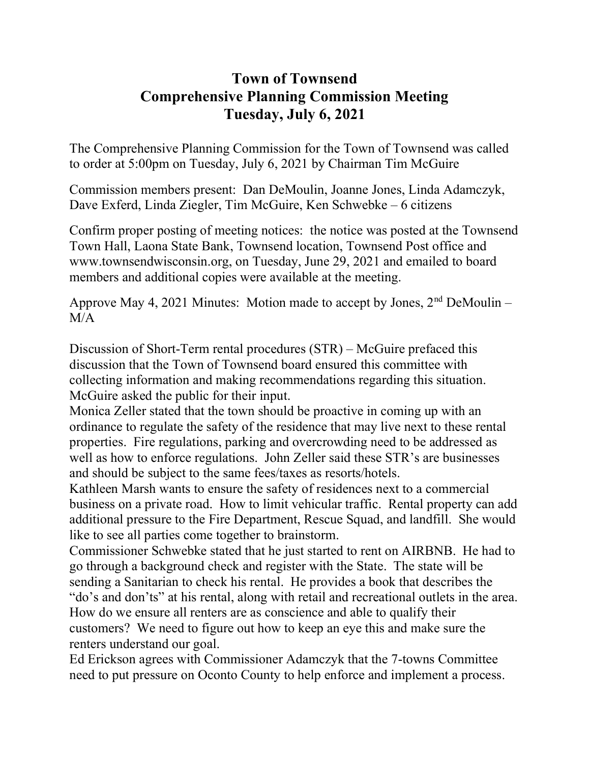## Town of Townsend Comprehensive Planning Commission Meeting Tuesday, July 6, 2021

The Comprehensive Planning Commission for the Town of Townsend was called to order at 5:00pm on Tuesday, July 6, 2021 by Chairman Tim McGuire

Commission members present: Dan DeMoulin, Joanne Jones, Linda Adamczyk, Dave Exferd, Linda Ziegler, Tim McGuire, Ken Schwebke – 6 citizens

Confirm proper posting of meeting notices: the notice was posted at the Townsend Town Hall, Laona State Bank, Townsend location, Townsend Post office and www.townsendwisconsin.org, on Tuesday, June 29, 2021 and emailed to board members and additional copies were available at the meeting.

Approve May 4, 2021 Minutes: Motion made to accept by Jones,  $2<sup>nd</sup>$  DeMoulin – M/A

Discussion of Short-Term rental procedures (STR) – McGuire prefaced this discussion that the Town of Townsend board ensured this committee with collecting information and making recommendations regarding this situation. McGuire asked the public for their input.

Monica Zeller stated that the town should be proactive in coming up with an ordinance to regulate the safety of the residence that may live next to these rental properties. Fire regulations, parking and overcrowding need to be addressed as well as how to enforce regulations. John Zeller said these STR's are businesses and should be subject to the same fees/taxes as resorts/hotels.

Kathleen Marsh wants to ensure the safety of residences next to a commercial business on a private road. How to limit vehicular traffic. Rental property can add additional pressure to the Fire Department, Rescue Squad, and landfill. She would like to see all parties come together to brainstorm.

Commissioner Schwebke stated that he just started to rent on AIRBNB. He had to go through a background check and register with the State. The state will be sending a Sanitarian to check his rental. He provides a book that describes the "do's and don'ts" at his rental, along with retail and recreational outlets in the area. How do we ensure all renters are as conscience and able to qualify their customers? We need to figure out how to keep an eye this and make sure the renters understand our goal.

Ed Erickson agrees with Commissioner Adamczyk that the 7-towns Committee need to put pressure on Oconto County to help enforce and implement a process.